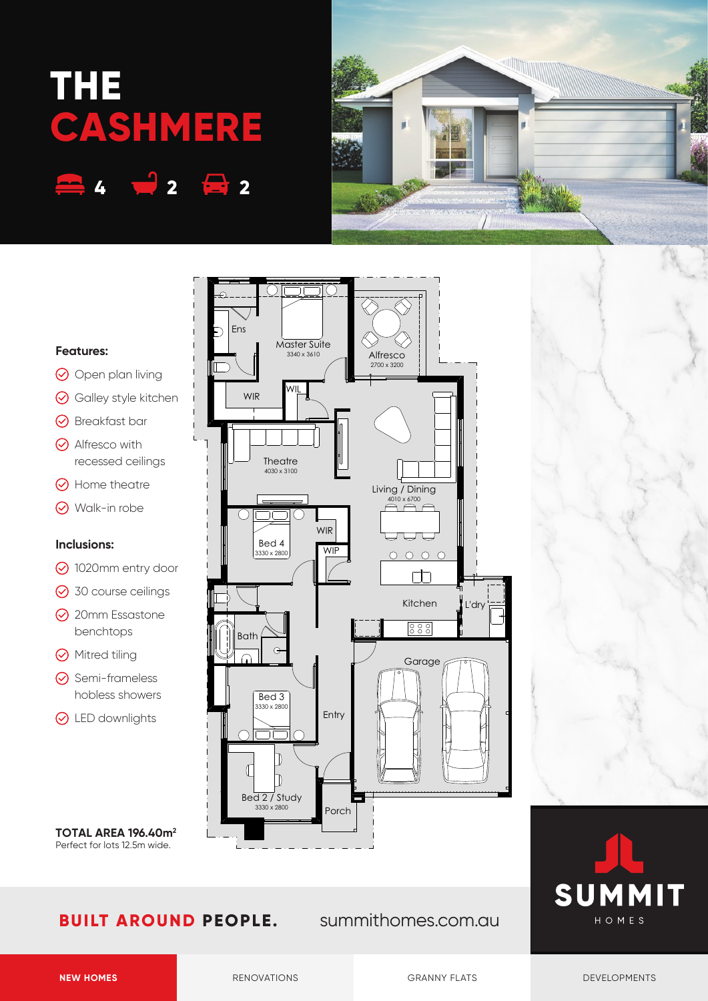# **THE CASHMERE**

**4 2 2**





# **Features:**

- O Open plan living
- **⊙** Galley style kitchen
- **⊙** Breakfast bar
- $\odot$  Alfresco with recessed ceilings
- $\odot$  Home theatre
- Walk-in robe

# **Inclusions:**

- 1020mm entry door
- **⊙** 30 course ceilings
- **⊙** 20mm Essastone benchtops
- **⊙** Mitred tiling
- **⊙** Semi-frameless hobless showers
- **⊙** LED downlights

**TOTAL AREA 196.40m2** Perfect for lots 12.5m wide.

# **BUILT AROUND PEOPLE.** summithomes.com.au